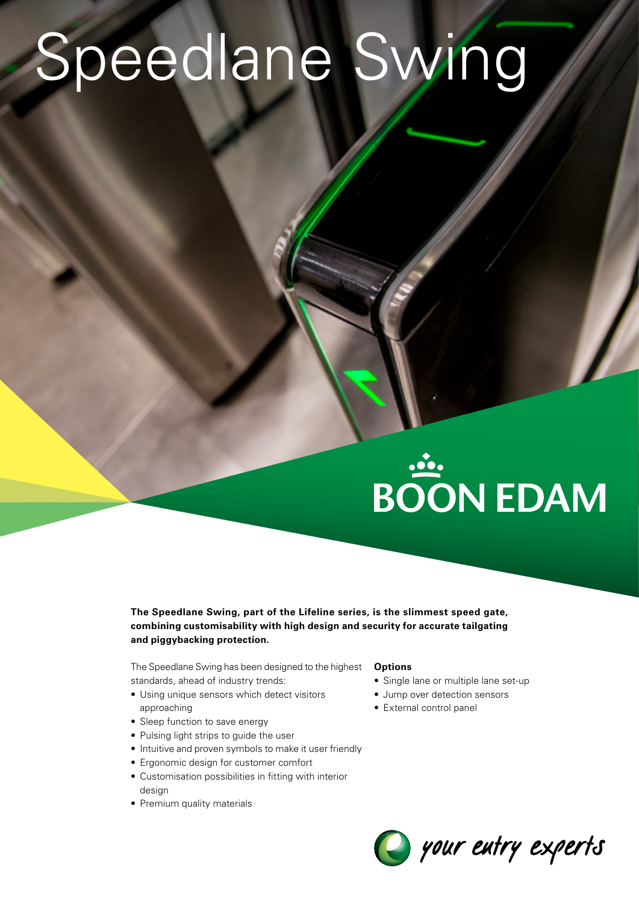## Speedlane Swing

# **BOON EDAM**

**The Speedlane Swing, part of the Lifeline series, is the slimmest speed gate, combining customisability with high design and security for accurate tailgating and piggybacking protection.**

The Speedlane Swing has been designed to the highest standards, ahead of industry trends:

- Using unique sensors which detect visitors approaching
- Sleep function to save energy
- Pulsing light strips to guide the user
- Intuitive and proven symbols to make it user friendly
- Ergonomic design for customer comfort
- Customisation possibilities in fitting with interior design
- Premium quality materials

#### **Options**

- Single lane or multiple lane set-up
- Jump over detection sensors
- External control panel